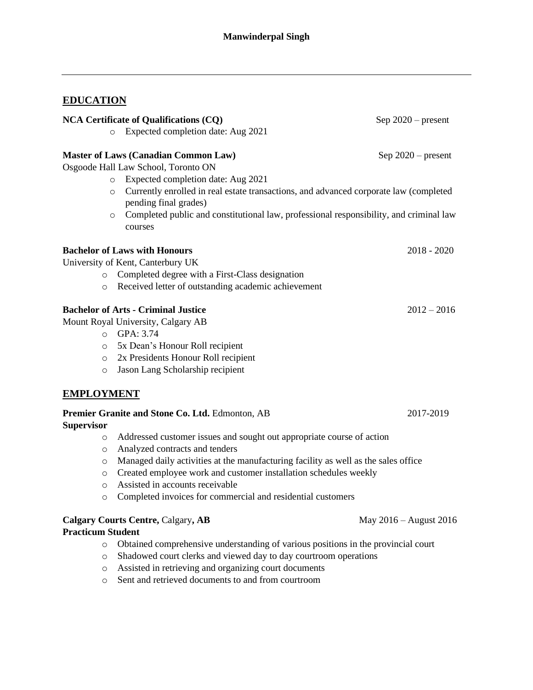# **EDUCATION**

| <b>NCA Certificate of Qualifications (CQ)</b> |                                                                                                   | Sep $2020$ – present   |
|-----------------------------------------------|---------------------------------------------------------------------------------------------------|------------------------|
|                                               | Expected completion date: Aug 2021<br>$\circ$                                                     |                        |
|                                               | <b>Master of Laws (Canadian Common Law)</b>                                                       | Sep $2020$ – present   |
|                                               | Osgoode Hall Law School, Toronto ON                                                               |                        |
|                                               | Expected completion date: Aug 2021<br>$\circ$                                                     |                        |
| $\circ$                                       | Currently enrolled in real estate transactions, and advanced corporate law (completed             |                        |
|                                               | pending final grades)                                                                             |                        |
| $\circ$                                       | Completed public and constitutional law, professional responsibility, and criminal law<br>courses |                        |
|                                               | <b>Bachelor of Laws with Honours</b>                                                              | $2018 - 2020$          |
|                                               | University of Kent, Canterbury UK                                                                 |                        |
| $\circ$                                       | Completed degree with a First-Class designation                                                   |                        |
| $\circ$                                       | Received letter of outstanding academic achievement                                               |                        |
|                                               | <b>Bachelor of Arts - Criminal Justice</b>                                                        | $2012 - 2016$          |
|                                               | Mount Royal University, Calgary AB                                                                |                        |
|                                               | o GPA: 3.74                                                                                       |                        |
| $\circ$                                       | 5x Dean's Honour Roll recipient                                                                   |                        |
| $\circ$                                       | 2x Presidents Honour Roll recipient                                                               |                        |
| $\circ$                                       | Jason Lang Scholarship recipient                                                                  |                        |
| <b>EMPLOYMENT</b>                             |                                                                                                   |                        |
|                                               | Premier Granite and Stone Co. Ltd. Edmonton, AB                                                   | 2017-2019              |
| <b>Supervisor</b>                             |                                                                                                   |                        |
| $\circ$                                       | Addressed customer issues and sought out appropriate course of action                             |                        |
| $\circ$                                       | Analyzed contracts and tenders                                                                    |                        |
| $\circ$                                       | Managed daily activities at the manufacturing facility as well as the sales office                |                        |
| $\circ$                                       | Created employee work and customer installation schedules weekly                                  |                        |
| $\circ$                                       | Assisted in accounts receivable                                                                   |                        |
| $\circ$                                       | Completed invoices for commercial and residential customers                                       |                        |
|                                               | <b>Calgary Courts Centre, Calgary, AB</b>                                                         | May 2016 – August 2016 |
| <b>Practicum Student</b>                      |                                                                                                   |                        |
| $\circ$                                       | Obtained comprehensive understanding of various positions in the provincial court                 |                        |

- o Shadowed court clerks and viewed day to day courtroom operations
- o Assisted in retrieving and organizing court documents
- o Sent and retrieved documents to and from courtroom